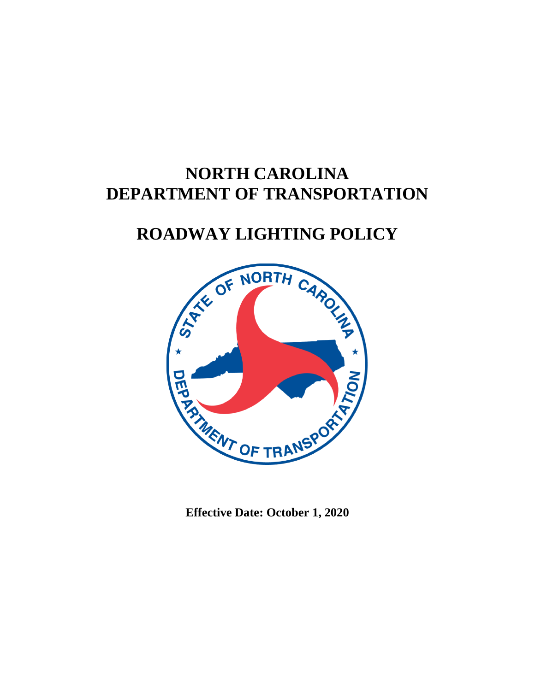# **NORTH CAROLINA DEPARTMENT OF TRANSPORTATION**

# **ROADWAY LIGHTING POLICY**



**Effective Date: October 1, 2020**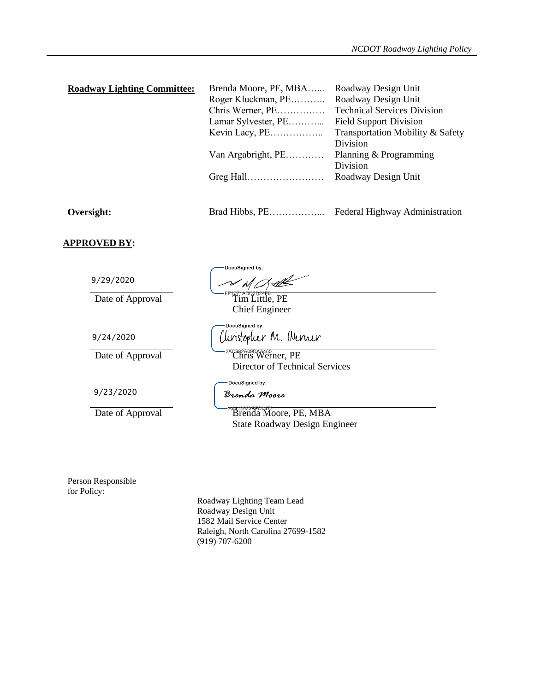| <b>Roadway Lighting Committee:</b> | Brenda Moore, PE, MBA | Roadway Design Unit                |
|------------------------------------|-----------------------|------------------------------------|
|                                    | Roger Kluckman, PE    | Roadway Design Unit                |
|                                    | Chris Werner, PE      | <b>Technical Services Division</b> |
|                                    | Lamar Sylvester, PE   | <b>Field Support Division</b>      |
|                                    |                       | Transportation Mobility & Safety   |
|                                    |                       | Division                           |
|                                    | Van Argabright, PE    | Planning & Programming             |
|                                    |                       | Division                           |
|                                    |                       | Roadway Design Unit                |
|                                    |                       |                                    |
|                                    |                       |                                    |
|                                    |                       |                                    |

**Oversight:** Brad Hibbs, PE……………... Federal Highway Administration

**APPROVED BY:**

9/29/2020

Date of Approval Frequences Case of Approval Tim Little, PE

9/24/2020

9/23/2020

DocuSigned by:  $M$  of  $M$ 

Chief Engineer

DocuSigned by: Christopher M. Werner

Date of Approval Chris Werner, PE Director of Technical Services

DocuSigned by:

Brenda Moore

Date of Approval Brenda Moore, PE, MBA State Roadway Design Engineer

Person Responsible for Policy:

Roadway Lighting Team Lead Roadway Design Unit 1582 Mail Service Center Raleigh, North Carolina 27699-1582 (919) 707-6200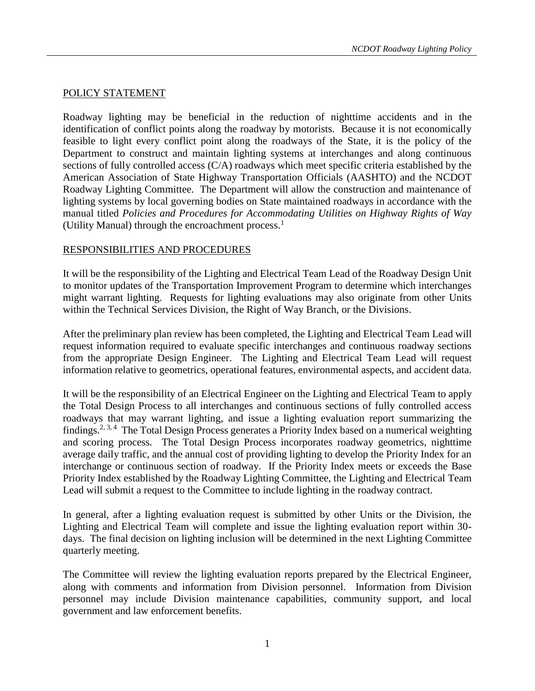#### POLICY STATEMENT

Roadway lighting may be beneficial in the reduction of nighttime accidents and in the identification of conflict points along the roadway by motorists. Because it is not economically feasible to light every conflict point along the roadways of the State, it is the policy of the Department to construct and maintain lighting systems at interchanges and along continuous sections of fully controlled access (C/A) roadways which meet specific criteria established by the American Association of State Highway Transportation Officials (AASHTO) and the NCDOT Roadway Lighting Committee. The Department will allow the construction and maintenance of lighting systems by local governing bodies on State maintained roadways in accordance with the manual titled *Policies and Procedures for Accommodating Utilities on Highway Rights of Way* (Utility Manual) through the encroachment process. $<sup>1</sup>$ </sup>

#### RESPONSIBILITIES AND PROCEDURES

It will be the responsibility of the Lighting and Electrical Team Lead of the Roadway Design Unit to monitor updates of the Transportation Improvement Program to determine which interchanges might warrant lighting. Requests for lighting evaluations may also originate from other Units within the Technical Services Division, the Right of Way Branch, or the Divisions.

After the preliminary plan review has been completed, the Lighting and Electrical Team Lead will request information required to evaluate specific interchanges and continuous roadway sections from the appropriate Design Engineer. The Lighting and Electrical Team Lead will request information relative to geometrics, operational features, environmental aspects, and accident data.

It will be the responsibility of an Electrical Engineer on the Lighting and Electrical Team to apply the Total Design Process to all interchanges and continuous sections of fully controlled access roadways that may warrant lighting, and issue a lighting evaluation report summarizing the findings.<sup>2, 3, 4</sup> The Total Design Process generates a Priority Index based on a numerical weighting and scoring process. The Total Design Process incorporates roadway geometrics, nighttime average daily traffic, and the annual cost of providing lighting to develop the Priority Index for an interchange or continuous section of roadway. If the Priority Index meets or exceeds the Base Priority Index established by the Roadway Lighting Committee, the Lighting and Electrical Team Lead will submit a request to the Committee to include lighting in the roadway contract.

In general, after a lighting evaluation request is submitted by other Units or the Division, the Lighting and Electrical Team will complete and issue the lighting evaluation report within 30 days. The final decision on lighting inclusion will be determined in the next Lighting Committee quarterly meeting.

The Committee will review the lighting evaluation reports prepared by the Electrical Engineer, along with comments and information from Division personnel. Information from Division personnel may include Division maintenance capabilities, community support, and local government and law enforcement benefits.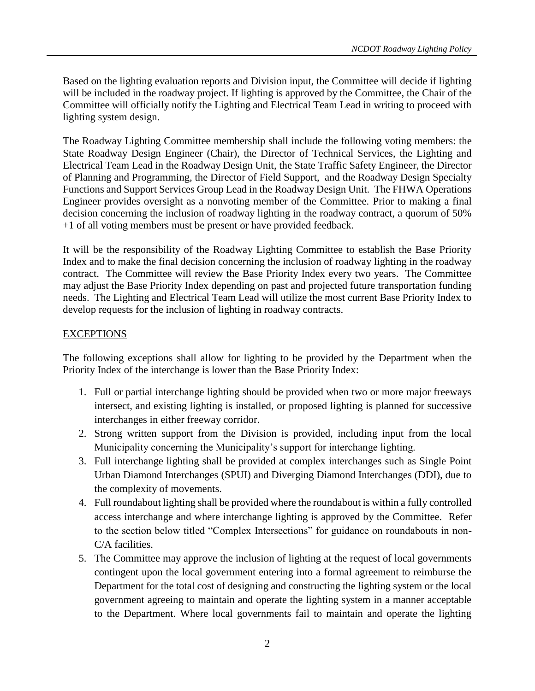Based on the lighting evaluation reports and Division input, the Committee will decide if lighting will be included in the roadway project. If lighting is approved by the Committee, the Chair of the Committee will officially notify the Lighting and Electrical Team Lead in writing to proceed with lighting system design.

The Roadway Lighting Committee membership shall include the following voting members: the State Roadway Design Engineer (Chair), the Director of Technical Services, the Lighting and Electrical Team Lead in the Roadway Design Unit, the State Traffic Safety Engineer, the Director of Planning and Programming, the Director of Field Support, and the Roadway Design Specialty Functions and Support Services Group Lead in the Roadway Design Unit. The FHWA Operations Engineer provides oversight as a nonvoting member of the Committee. Prior to making a final decision concerning the inclusion of roadway lighting in the roadway contract, a quorum of 50% +1 of all voting members must be present or have provided feedback.

It will be the responsibility of the Roadway Lighting Committee to establish the Base Priority Index and to make the final decision concerning the inclusion of roadway lighting in the roadway contract. The Committee will review the Base Priority Index every two years. The Committee may adjust the Base Priority Index depending on past and projected future transportation funding needs. The Lighting and Electrical Team Lead will utilize the most current Base Priority Index to develop requests for the inclusion of lighting in roadway contracts.

# EXCEPTIONS

The following exceptions shall allow for lighting to be provided by the Department when the Priority Index of the interchange is lower than the Base Priority Index:

- 1. Full or partial interchange lighting should be provided when two or more major freeways intersect, and existing lighting is installed, or proposed lighting is planned for successive interchanges in either freeway corridor.
- 2. Strong written support from the Division is provided, including input from the local Municipality concerning the Municipality's support for interchange lighting.
- 3. Full interchange lighting shall be provided at complex interchanges such as Single Point Urban Diamond Interchanges (SPUI) and Diverging Diamond Interchanges (DDI), due to the complexity of movements.
- 4. Full roundabout lighting shall be provided where the roundabout is within a fully controlled access interchange and where interchange lighting is approved by the Committee. Refer to the section below titled "Complex Intersections" for guidance on roundabouts in non-C/A facilities.
- 5. The Committee may approve the inclusion of lighting at the request of local governments contingent upon the local government entering into a formal agreement to reimburse the Department for the total cost of designing and constructing the lighting system or the local government agreeing to maintain and operate the lighting system in a manner acceptable to the Department. Where local governments fail to maintain and operate the lighting